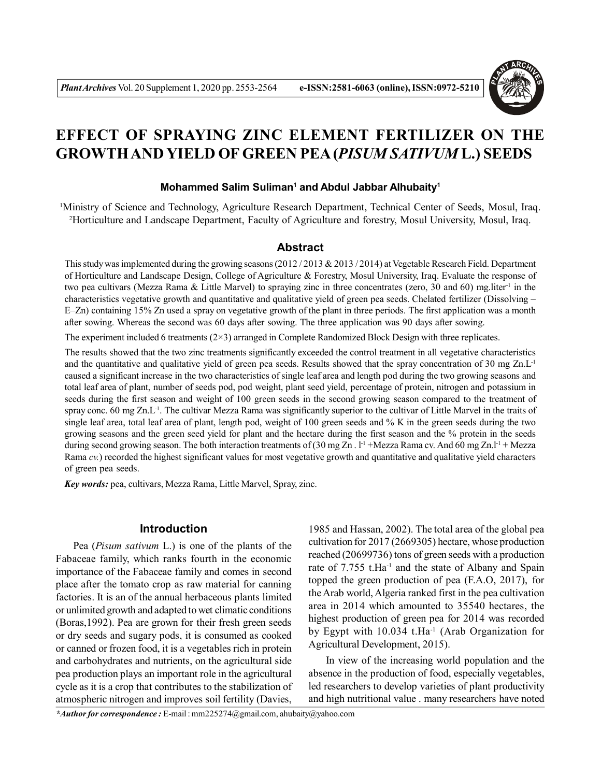

# **EFFECT OF SPRAYING ZINC ELEMENT FERTILIZER ON THE GROWTH AND YIELD OF GREEN PEA (***PISUM SATIVUM* **L.) SEEDS**

### **Mohammed Salim Suliman<sup>1</sup> and Abdul Jabbar Alhubaity<sup>1</sup>**

<sup>1</sup>Ministry of Science and Technology, Agriculture Research Department, Technical Center of Seeds, Mosul, Iraq. <sup>2</sup>Horticulture and Landscape Department, Faculty of Agriculture and forestry, Mosul University, Mosul, Iraq.

## **Abstract**

This study was implemented during the growing seasons  $(2012/2013 \& 2013/2014)$  at Vegetable Research Field. Department of Horticulture and Landscape Design, College of Agriculture & Forestry, Mosul University, Iraq. Evaluate the response of two pea cultivars (Mezza Rama & Little Marvel) to spraying zinc in three concentrates (zero, 30 and 60) mg.liter<sup>-1</sup> in the characteristics vegetative growth and quantitative and qualitative yield of green pea seeds. Chelated fertilizer (Dissolving – E–Zn) containing 15% Zn used a spray on vegetative growth of the plant in three periods. The first application was a month after sowing. Whereas the second was 60 days after sowing. The three application was 90 days after sowing.

The experiment included 6 treatments (2×3) arranged in Complete Randomized Block Design with three replicates.

The results showed that the two zinc treatments significantly exceeded the control treatment in all vegetative characteristics and the quantitative and qualitative yield of green pea seeds. Results showed that the spray concentration of 30 mg  $Zn.L^{-1}$ caused a significant increase in the two characteristics of single leaf area and length pod during the two growing seasons and total leaf area of plant, number of seeds pod, pod weight, plant seed yield, percentage of protein, nitrogen and potassium in seeds during the first season and weight of 100 green seeds in the second growing season compared to the treatment of spray conc. 60 mg Zn.L<sup>-1</sup>. The cultivar Mezza Rama was significantly superior to the cultivar of Little Marvel in the traits of single leaf area, total leaf area of plant, length pod, weight of 100 green seeds and  $%$  K in the green seeds during the two growing seasons and the green seed yield for plant and the hectare during the first season and the % protein in the seeds during second growing season. The both interaction treatments of (30 mg Zn .  $l^{-1}$  +Mezza Rama cv. And 60 mg Zn.l<sup>-1</sup> + Mezza Rama *cv.*) recorded the highest significant values for most vegetative growth and quantitative and qualitative yield characters of green pea seeds.

*Key words:* pea, cultivars, Mezza Rama, Little Marvel, Spray, zinc.

## **Introduction**

Pea (*Pisum sativum* L.) is one of the plants of the Fabaceae family, which ranks fourth in the economic importance of the Fabaceae family and comes in second place after the tomato crop as raw material for canning factories. It is an of the annual herbaceous plants limited or unlimited growth and adapted to wet climatic conditions (Boras,1992). Pea are grown for their fresh green seeds or dry seeds and sugary pods, it is consumed as cooked or canned or frozen food, it is a vegetables rich in protein and carbohydrates and nutrients, on the agricultural side pea production plays an important role in the agricultural cycle as it is a crop that contributes to the stabilization of atmospheric nitrogen and improves soil fertility (Davies,

1985 and Hassan, 2002). The total area of the global pea cultivation for 2017 (2669305) hectare, whose production reached (20699736) tons of green seeds with a production rate of 7.755 t.Ha<sup>-1</sup> and the state of Albany and Spain topped the green production of pea  $(F.A.O., 2017)$ , for the Arab world, Algeria ranked first in the pea cultivation area in 2014 which amounted to 35540 hectares, the highest production of green pea for 2014 was recorded by Egypt with 10.034 t.Ha<sup>-1</sup> (Arab Organization for Agricultural Development, 2015).

In view of the increasing world population and the absence in the production of food, especially vegetables, led researchers to develop varieties of plant productivity and high nutritional value . many researchers have noted

*\*Author for correspondence :* E-mail : mm225274@gmail.com, ahubaity@yahoo.com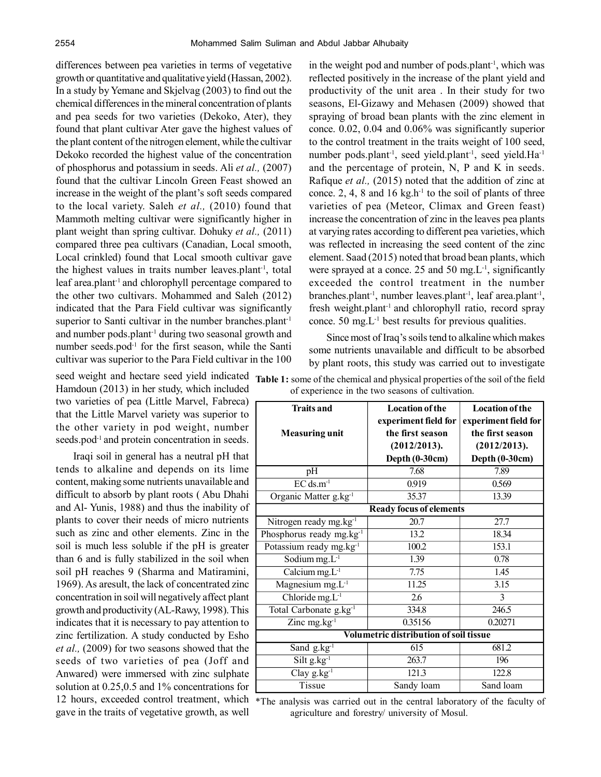differences between pea varieties in terms of vegetative growth or quantitative and qualitative yield (Hassan, 2002). In a study by Yemane and Skjelvag (2003) to find out the chemical differences in the mineral concentration of plants and pea seeds for two varieties (Dekoko, Ater), they found that plant cultivar Ater gave the highest values of the plant content of the nitrogen element, while the cultivar Dekoko recorded the highest value of the concentration of phosphorus and potassium in seeds. Ali *et al.,* (2007) found that the cultivar Lincoln Green Feast showed an increase in the weight of the plant's soft seeds compared to the local variety. Saleh *et al.,* (2010) found that Mammoth melting cultivar were significantly higher in plant weight than spring cultivar. Dohuky *et al.,* (2011) compared three pea cultivars (Canadian, Local smooth, Local crinkled) found that Local smooth cultivar gave the highest values in traits number leaves.plant<sup>-1</sup>, total leaf area.plant<sup>-1</sup> and chlorophyll percentage compared to the other two cultivars. Mohammed and Saleh (2012) indicated that the Para Field cultivar was significantly superior to Santi cultivar in the number branches.plant<sup>-1</sup> and number pods.plant<sup>-1</sup> during two seasonal growth and number seeds.pod $^{-1}$  for the first season, while the Santi cultivar was superior to the Para Field cultivar in the 100

Hamdoun (2013) in her study, which included two varieties of pea (Little Marvel, Fabreca) that the Little Marvel variety was superior to the other variety in pod weight, number seeds.pod<sup>-1</sup> and protein concentration in seeds.

Iraqi soil in general has a neutral pH that tends to alkaline and depends on its lime content, making some nutrients unavailable and difficult to absorb by plant roots ( Abu Dhahi and Al- Yunis, 1988) and thus the inability of plants to cover their needs of micro nutrients such as zinc and other elements. Zinc in the soil is much less soluble if the pH is greater than 6 and is fully stabilized in the soil when soil pH reaches 9 (Sharma and Matiramini, 1969). As aresult, the lack of concentrated zinc concentration in soil will negatively affect plant growth and productivity (AL-Rawy, 1998). This indicates that it is necessary to pay attention to zinc fertilization. A study conducted by Esho *et al.,* (2009) for two seasons showed that the seeds of two varieties of pea (Joff and Anwared) were immersed with zinc sulphate solution at 0.25,0.5 and 1% concentrations for gave in the traits of vegetative growth, as well

in the weight pod and number of pods.plant<sup>-1</sup>, which was reflected positively in the increase of the plant yield and productivity of the unit area . In their study for two seasons, El-Gizawy and Mehasen (2009) showed that spraying of broad bean plants with the zinc element in conce. 0.02, 0.04 and 0.06% was significantly superior to the control treatment in the traits weight of 100 seed, number pods.plant<sup>-1</sup>, seed yield.plant<sup>-1</sup>, seed yield.Ha<sup>-1</sup> and the percentage of protein, N, P and K in seeds. Rafique *et al.,* (2015) noted that the addition of zinc at conce. 2, 4, 8 and 16 kg.h<sup>-1</sup> to the soil of plants of three varieties of pea (Meteor, Climax and Green feast) increase the concentration of zinc in the leaves pea plants at varying rates according to different pea varieties, which was reflected in increasing the seed content of the zinc element. Saad (2015) noted that broad bean plants, which were sprayed at a conce. 25 and 50 mg. $L^{-1}$ , significantly exceeded the control treatment in the number branches.plant<sup>-1</sup>, number leaves.plant<sup>-1</sup>, leaf area.plant<sup>-1</sup>, fresh weight.plant<sup>-1</sup> and chlorophyll ratio, record spray conce.  $50 \text{ mg}$ .  $L^{-1}$  best results for previous qualities.

Since most of Iraq's soils tend to alkaline which makes some nutrients unavailable and difficult to be absorbed by plant roots, this study was carried out to investigate

| <b>Traits and</b><br><b>Measuring unit</b>    | <b>Location of the</b><br>experiment field for<br>the first season<br>(2012/2013).<br>Depth (0-30cm) | <b>Location of the</b><br>experiment field for<br>the first season<br>(2012/2013).<br>Depth (0-30cm) |  |  |
|-----------------------------------------------|------------------------------------------------------------------------------------------------------|------------------------------------------------------------------------------------------------------|--|--|
| pH                                            | 7.68                                                                                                 | 7.89                                                                                                 |  |  |
| $EC$ ds.m <sup>-1</sup>                       | 0.919                                                                                                | 0.569                                                                                                |  |  |
| Organic Matter g.kg <sup>-1</sup>             | 35.37                                                                                                | 13.39                                                                                                |  |  |
|                                               | <b>Ready focus of elements</b>                                                                       |                                                                                                      |  |  |
| Nitrogen ready mg.kg <sup>-1</sup>            | 20.7                                                                                                 | 27.7                                                                                                 |  |  |
| Phosphorus ready mg.kg <sup>-1</sup>          | 13.2                                                                                                 | 18.34                                                                                                |  |  |
| Potassium ready mg.kg <sup>-1</sup>           | 100.2                                                                                                | 153.1                                                                                                |  |  |
| $\overline{\text{S}}$ odium mg.L <sup>1</sup> | 1.39                                                                                                 | 0.78                                                                                                 |  |  |
| Calcium $mg.L^{-1}$                           | 7.75                                                                                                 | 1.45                                                                                                 |  |  |
| Magnesium $mg.L^{-1}$                         | 11.25                                                                                                | 3.15                                                                                                 |  |  |
| Chloride $mg.L^{-1}$                          | 2.6                                                                                                  | 3                                                                                                    |  |  |
| Total Carbonate g.kg <sup>-1</sup>            | 334.8                                                                                                | 246.5                                                                                                |  |  |
| Zinc $mg.kg^{-1}$                             | 0.35156                                                                                              | 0.20271                                                                                              |  |  |
| <b>Volumetric distribution of soil tissue</b> |                                                                                                      |                                                                                                      |  |  |
| Sand g.kg <sup>-1</sup>                       | 615                                                                                                  | 681.2                                                                                                |  |  |
| $Silt g.kg^{-1}$                              | 263.7                                                                                                | 196                                                                                                  |  |  |
| $Clay g.kg^{-1}$                              | 121.3                                                                                                | 122.8                                                                                                |  |  |
| Tissue                                        | Sandy loam                                                                                           | Sand loam                                                                                            |  |  |

seed weight and hectare seed yield indicated Table 1: some of the chemical and physical properties of the soil of the field of experience in the two seasons of cultivation.

12 hours, exceeded control treatment, which \*The analysis was carried out in the central laboratory of the faculty of agriculture and forestry/ university of Mosul.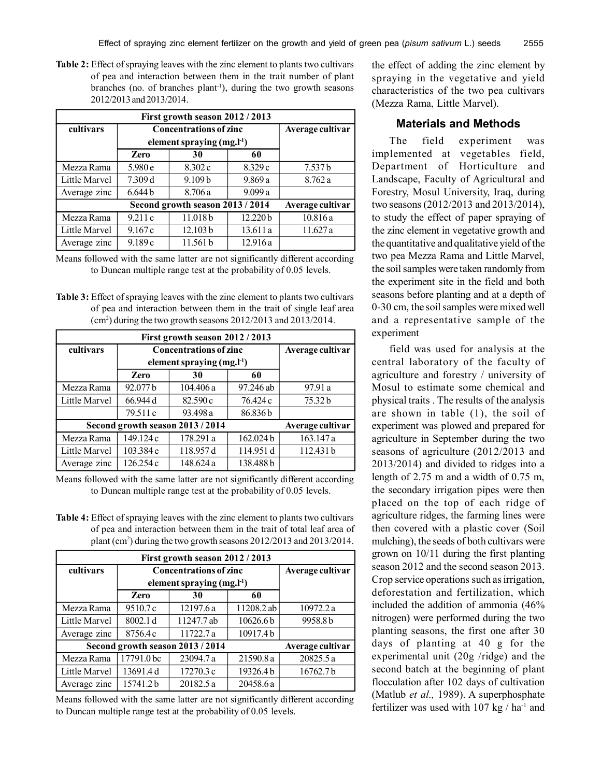**Table 2:** Effect of spraying leaves with the zinc element to plants two cultivars of pea and interaction between them in the trait number of plant branches (no. of branches plant<sup>-1</sup>), during the two growth seasons 2012/2013 and 2013/2014.

| First growth season 2012 / 2013 |                                  |                                 |          |                    |  |
|---------------------------------|----------------------------------|---------------------------------|----------|--------------------|--|
| cultivars                       |                                  | <b>Concentrations of zinc</b>   |          | Average cultivar   |  |
|                                 |                                  | element spraying $(mg, l^{-1})$ |          |                    |  |
|                                 | Zero                             | 30                              | 60       |                    |  |
| Mezza Rama                      | 5.980 e                          | 8.302 c                         | 8.329 c  | 7.537 <sub>b</sub> |  |
| Little Marvel                   | 7.309 d                          | 9.109 <sub>b</sub>              | 9.869a   | 8.762a             |  |
| Average zinc                    | 6.644 <sub>b</sub>               | 8.706a                          | 9.099a   |                    |  |
|                                 | Second growth season 2013 / 2014 | Average cultivar                |          |                    |  |
| Mezza Rama                      | 9.211c                           | 11.018b                         | 12.220b  | 10.816a            |  |
| Little Marvel                   | 9.167c                           | 12.103 b                        | 13.611 a | 11.627 a           |  |
| Average zinc                    | 9.189c                           | 11.561 b                        | 12.916a  |                    |  |

Means followed with the same latter are not significantly different according to Duncan multiple range test at the probability of 0.05 levels.

**Table 3:** Effect of spraying leaves with the zinc element to plants two cultivars of pea and interaction between them in the trait of single leaf area (cm<sup>2</sup> ) during the two growth seasons 2012/2013 and 2013/2014.

|                                  |                  | First growth season 2012 / 2013 |           |                  |
|----------------------------------|------------------|---------------------------------|-----------|------------------|
| cultivars                        |                  | <b>Concentrations of zinc</b>   |           | Average cultivar |
|                                  |                  | element spraying $(mg,l^{-1})$  |           |                  |
|                                  | <b>Zero</b>      | 30                              | 60        |                  |
| Mezza Rama                       | 92.077 b         | 104.406 a                       | 97.246 ab | 97.91 a          |
| Little Marvel                    | 66.944 d         | 82.590c                         | 76.424 c  | 75.32b           |
|                                  | 79.511 c         | 93.498 a                        | 86.836b   |                  |
| Second growth season 2013 / 2014 | Average cultivar |                                 |           |                  |
| Mezza Rama                       | 149.124 c        | 178.291 a                       | 162.024b  | 163.147 a        |
| Little Marvel                    | 103.384 e        | 118.957 d                       | 114.951 d | 112.431 b        |
| Average zinc                     | 126.254 c        | 148.624 a                       | 138.488b  |                  |

Means followed with the same latter are not significantly different according to Duncan multiple range test at the probability of 0.05 levels.

**Table 4:** Effect of spraying leaves with the zinc element to plants two cultivars of pea and interaction between them in the trait of total leaf area of plant (cm<sup>2</sup> ) during the two growth seasons 2012/2013 and 2013/2014.

| First growth season 2012 / 2013  |                  |                                 |                      |                  |  |
|----------------------------------|------------------|---------------------------------|----------------------|------------------|--|
| cultivars                        |                  | <b>Concentrations of zinc</b>   |                      | Average cultivar |  |
|                                  |                  | element spraying $(mg, l^{-1})$ |                      |                  |  |
|                                  | <b>Zero</b>      | 30                              | 60                   |                  |  |
| Mezza Rama                       | 9510.7c          | 12197.6 a                       | 11208.2 ab           | 10972.2 a        |  |
| Little Marvel                    | 8002.1 d         | 11247.7 ab                      | 10626.6 <sub>b</sub> | 9958.8b          |  |
| Average zinc                     | 8756.4c          | 11722.7 a                       | 10917.4b             |                  |  |
| Second growth season 2013 / 2014 | Average cultivar |                                 |                      |                  |  |
| Mezza Rama                       | 17791.0 bc       | 23094.7 a                       | 21590.8 a            | 20825.5 a        |  |
| Little Marvel                    | 13691.4 d        | 17270.3 c                       | 19326.4b             | 16762.7b         |  |
| Average zinc                     | 15741.2b         | 20182.5 a                       | 20458.6 a            |                  |  |

Means followed with the same latter are not significantly different according to Duncan multiple range test at the probability of 0.05 levels.

the effect of adding the zinc element by spraying in the vegetative and yield characteristics of the two pea cultivars (Mezza Rama, Little Marvel).

# **Materials and Methods**

The field experiment was implemented at vegetables field, Department of Horticulture and Landscape, Faculty of Agricultural and Forestry, Mosul University, Iraq, during two seasons (2012/2013 and 2013/2014), to study the effect of paper spraying of the zinc element in vegetative growth and the quantitative and qualitative yield of the two pea Mezza Rama and Little Marvel the soil samples were taken randomly from the experiment site in the field and both seasons before planting and at a depth of 0-30 cm, the soil samples were mixed well and a representative sample of the experiment

field was used for analysis at the central laboratory of the faculty of agriculture and forestry / university of Mosul to estimate some chemical and physical traits . The results of the analysis are shown in table (1), the soil of experiment was plowed and prepared for agriculture in September during the two seasons of agriculture (2012/2013 and 2013/2014) and divided to ridges into a length of 2.75 m and a width of 0.75 m the secondary irrigation pipes were then placed on the top of each ridge of agriculture ridges, the farming lines were then covered with a plastic cover (Soil mulching), the seeds of both cultivars were grown on 10/11 during the first planting season 2012 and the second season 2013. Crop service operations such as irrigation, deforestation and fertilization, which included the addition of ammonia (46% nitrogen) were performed during the two planting seasons, the first one after 30 days of planting at 40 g for the experimental unit (20g /ridge) and the second batch at the beginning of plant flocculation after 102 days of cultivation (Matlub *et al.,* 1989). A superphosphate fertilizer was used with  $107$  kg / ha<sup>-1</sup> and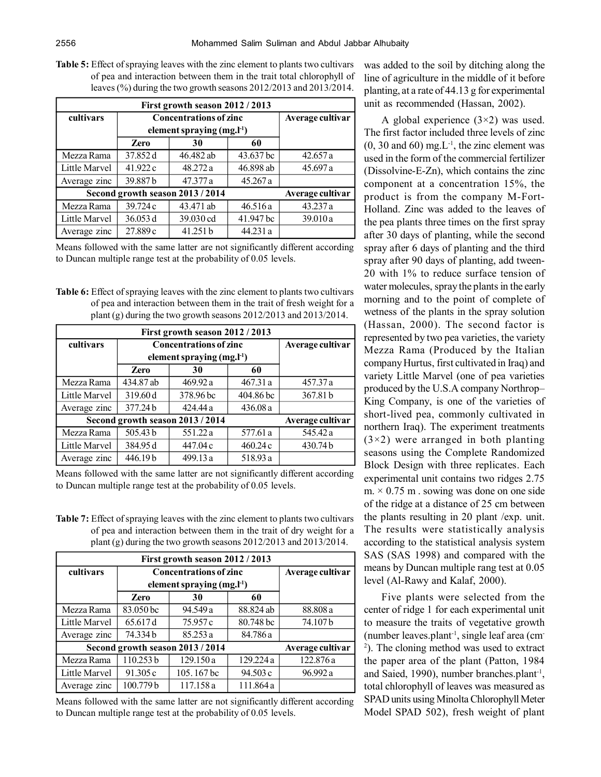**Table 5:** Effect of spraying leaves with the zinc element to plants two cultivars of pea and interaction between them in the trait total chlorophyll of leaves (%) during the two growth seasons 2012/2013 and 2013/2014.

| First growth season 2012 / 2013  |                  |                               |           |                  |
|----------------------------------|------------------|-------------------------------|-----------|------------------|
| cultivars                        |                  | <b>Concentrations of zinc</b> |           | Average cultivar |
|                                  |                  | element spraying $(mg, l-1)$  |           |                  |
|                                  | <b>Zero</b>      | 30                            | 60        |                  |
| Mezza Rama                       | 37.852 d         | 46.482 ab                     | 43.637 bc | 42.657 a         |
| Little Marvel                    | 41.922 c         | 48.272 a                      | 46.898 ab | 45.697 a         |
| Average zinc                     | 39.887b          | 47.377 a                      | 45.267a   |                  |
| Second growth season 2013 / 2014 | Average cultivar |                               |           |                  |
| Mezza Rama                       | 39.724 c         | 43.471 ab                     | 46.516a   | 43.237 a         |
| Little Marvel                    | 36.053 d         | 39.030 cd                     | 41.947 bc | 39.010 a         |
| Average zinc                     | 27.889 c         | 41.251 b                      | 44.231 a  |                  |

Means followed with the same latter are not significantly different according to Duncan multiple range test at the probability of 0.05 levels.

**Table 6:** Effect of spraying leaves with the zinc element to plants two cultivars of pea and interaction between them in the trait of fresh weight for a plant (g) during the two growth seasons 2012/2013 and 2013/2014.

| First growth season 2012 / 2013  |                  |                               |           |                  |
|----------------------------------|------------------|-------------------------------|-----------|------------------|
| cultivars                        |                  | <b>Concentrations of zinc</b> |           | Average cultivar |
|                                  |                  | element spraying $(mg, l-1)$  |           |                  |
|                                  | Zero             | 30                            | 60        |                  |
| Mezza Rama                       | 434.87 ab        | 469.92 a                      | 467.31a   | 457.37 a         |
| Little Marvel                    | 319.60 d         | 378.96 bc                     | 404.86 bc | 367.81 b         |
| Average zinc                     | 377.24b          | 424.44 a                      | 436.08a   |                  |
| Second growth season 2013 / 2014 | Average cultivar |                               |           |                  |
| Mezza Rama                       | 505.43 b         | 551.22 a                      | 577.61 a  | 545.42 a         |
| Little Marvel                    | 384.95 d         | 447.04 c                      | 460.24c   | 430.74 b         |
| Average zinc                     | 446.19b          | 499.13 a                      | 518.93 a  |                  |

Means followed with the same latter are not significantly different according to Duncan multiple range test at the probability of 0.05 levels.

**Table 7:** Effect of spraying leaves with the zinc element to plants two cultivars of pea and interaction between them in the trait of dry weight for a plant (g) during the two growth seasons 2012/2013 and 2013/2014.

| First growth season 2012 / 2013  |           |                                 |           |                  |  |
|----------------------------------|-----------|---------------------------------|-----------|------------------|--|
| cultivars                        |           | <b>Concentrations of zinc</b>   |           | Average cultivar |  |
|                                  |           | element spraying $(mg, l^{-1})$ |           |                  |  |
|                                  | Zero      | 30                              | 60        |                  |  |
| Mezza Rama                       | 83.050 bc | 94.549 a                        | 88.824 ab | 88.808 a         |  |
| Little Marvel                    | 65.617d   | 75.957 c                        | 80.748 bc | 74.107b          |  |
| Average zinc                     | 74.334b   | 85.253 a                        | 84.786 a  |                  |  |
| Second growth season 2013 / 2014 |           | Average cultivar                |           |                  |  |
| Mezza Rama                       | 110.253b  | 129.150 a                       | 129.224 a | 122.876 a        |  |
| Little Marvel                    | 91.305 c  | 105.167 bc                      | 94.503 c  | 96.992 a         |  |
| Average zinc                     | 100.779b  | 117.158 a                       | 111.864 a |                  |  |

Means followed with the same latter are not significantly different according to Duncan multiple range test at the probability of 0.05 levels.

was added to the soil by ditching along the line of agriculture in the middle of it before planting, at a rate of 44.13 g for experimental unit as recommended (Hassan, 2002).

A global experience  $(3\times2)$  was used. The first factor included three levels of zinc  $(0, 30 \text{ and } 60) \text{ mg.L}^{-1}$ , the zinc element was used in the form of the commercial fertilizer (Dissolvine-E-Zn), which contains the zinc component at a concentration 15%, the product is from the company M-Fort-Holland. Zinc was added to the leaves of the pea plants three times on the first spray after 30 days of planting, while the second spray after 6 days of planting and the third spray after 90 days of planting, add tween-20 with 1% to reduce surface tension of water molecules, spray the plants in the early morning and to the point of complete of wetness of the plants in the spray solution (Hassan, 2000). The second factor is represented by two pea varieties, the variety Mezza Rama (Produced by the Italian company Hurtus, first cultivated in Iraq) and variety Little Marvel (one of pea varieties produced by the U.S.A company Northrop– King Company, is one of the varieties of short-lived pea, commonly cultivated in northern Iraq). The experiment treatments  $(3\times2)$  were arranged in both planting seasons using the Complete Randomized Block Design with three replicates. Each experimental unit contains two ridges 2.75  $m \times 0.75$  m . sowing was done on one side of the ridge at a distance of 25 cm between the plants resulting in 20 plant /exp. unit. The results were statistically analysis according to the statistical analysis system SAS (SAS 1998) and compared with the means by Duncan multiple rang test at 0.05 level (Al-Rawy and Kalaf, 2000).

Five plants were selected from the center of ridge 1 for each experimental unit to measure the traits of vegetative growth (number leaves.plant-1, single leaf area (cm-2 ). The cloning method was used to extract the paper area of the plant (Patton, 1984 and Saied, 1990), number branches.plant<sup>-1</sup>, total chlorophyll of leaves was measured as SPAD units using Minolta Chlorophyll Meter Model SPAD 502), fresh weight of plant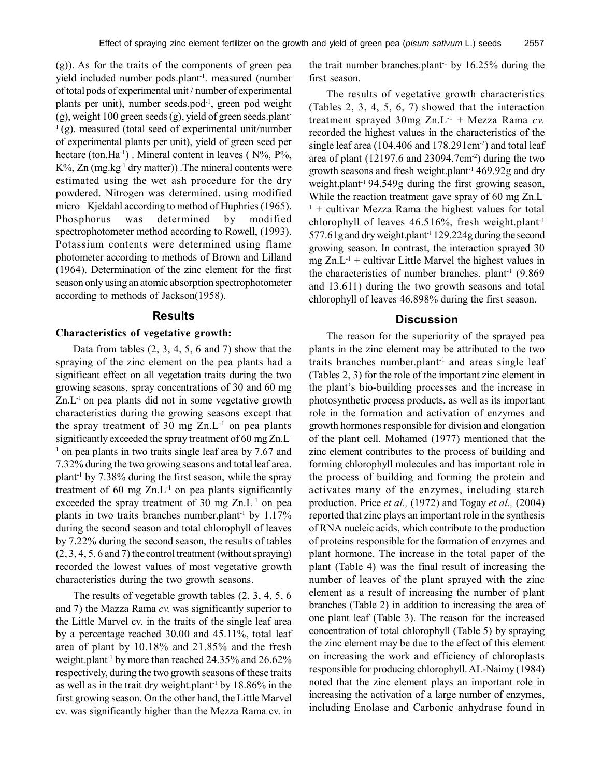(g)). As for the traits of the components of green pea yield included number pods.plant<sup>-1</sup>. measured (number of total pods of experimental unit / number of experimental plants per unit), number seeds.pod<sup>-1</sup>, green pod weight (g), weight 100 green seeds (g), yield of green seeds.plant- $(1)(g)$ . measured (total seed of experimental unit/number of experimental plants per unit), yield of green seed per hectare (ton.Ha<sup>-1</sup>). Mineral content in leaves ( $N\%$ ,  $P\%$ ,  $K\%$ , Zn (mg.kg<sup>-1</sup> dry matter)). The mineral contents were estimated using the wet ash procedure for the dry powdered. Nitrogen was determined. using modified micro-Kjeldahl according to method of Huphries (1965). Phosphorus was determined by modified spectrophotometer method according to Rowell, (1993). Potassium contents were determined using flame photometer according to methods of Brown and Lilland (1964). Determination of the zinc element for the first season only using an atomic absorption spectrophotometer according to methods of Jackson(1958).

#### **Results**

#### **Characteristics of vegetative growth:**

Data from tables  $(2, 3, 4, 5, 6, \text{ and } 7)$  show that the spraying of the zinc element on the pea plants had a significant effect on all vegetation traits during the two growing seasons, spray concentrations of 30 and 60 mg  $Zn.L^{-1}$  on pea plants did not in some vegetative growth characteristics during the growing seasons except that the spray treatment of 30 mg  $Zn.L^{-1}$  on pea plants significantly exceeded the spray treatment of 60 mg Zn.L-<sup>1</sup> on pea plants in two traits single leaf area by 7.67 and 7.32% during the two growing seasons and total leaf area. plant<sup>-1</sup> by  $7.38\%$  during the first season, while the spray treatment of 60 mg  $Zn.L^{-1}$  on pea plants significantly exceeded the spray treatment of  $30 \text{ mg } Zn.L^{-1}$  on pea plants in two traits branches number.plant<sup>-1</sup> by  $1.17\%$ during the second season and total chlorophyll of leaves by 7.22% during the second season, the results of tables (2, 3, 4, 5, 6 and 7) the control treatment (without spraying) recorded the lowest values of most vegetative growth characteristics during the two growth seasons.

The results of vegetable growth tables (2, 3, 4, 5, 6 and 7) the Mazza Rama *cv.* was significantly superior to the Little Marvel cv. in the traits of the single leaf area by a percentage reached 30.00 and 45.11%, total leaf area of plant by 10.18% and 21.85% and the fresh weight.plant-1 by more than reached 24.35% and 26.62% respectively, during the two growth seasons of these traits as well as in the trait dry weight.plant<sup>-1</sup> by  $18.86\%$  in the first growing season. On the other hand, the Little Marvel cv. was significantly higher than the Mezza Rama cv. in

the trait number branches.plant<sup>-1</sup> by  $16.25\%$  during the first season.

The results of vegetative growth characteristics (Tables 2, 3, 4, 5, 6, 7) showed that the interaction treatment sprayed 30mg Zn.L-1 + Mezza Rama *cv.* recorded the highest values in the characteristics of the single leaf area (104.406 and 178.291cm<sup>-2</sup>) and total leaf area of plant  $(12197.6 \text{ and } 23094.7 \text{cm}^{-2})$  during the two growth seasons and fresh weight.plant-1 469.92g and dry weight.plant-1 94.549g during the first growing season, While the reaction treatment gave spray of 60 mg Zn.L<sup>-</sup>  $1 +$  cultivar Mezza Rama the highest values for total chlorophyll of leaves 46.516%, fresh weight.plant-1 577.61g and dry weight.plant-1 129.224g during the second growing season. In contrast, the interaction sprayed 30 mg  $Zn.L^{-1}$  + cultivar Little Marvel the highest values in the characteristics of number branches. plant<sup>-1</sup>  $(9.869)$ and 13.611) during the two growth seasons and total chlorophyll of leaves 46.898% during the first season.

## **Discussion**

The reason for the superiority of the sprayed pea plants in the zinc element may be attributed to the two traits branches number.plant-1 and areas single leaf (Tables 2, 3) for the role of the important zinc element in the plant's bio-building processes and the increase in photosynthetic process products, as well as its important role in the formation and activation of enzymes and growth hormones responsible for division and elongation of the plant cell. Mohamed (1977) mentioned that the zinc element contributes to the process of building and forming chlorophyll molecules and has important role in the process of building and forming the protein and activates many of the enzymes, including starch production. Price *et al.,* (1972) and Togay *et al.,* (2004) reported that zinc plays an important role in the synthesis of RNA nucleic acids, which contribute to the production of proteins responsible for the formation of enzymes and plant hormone. The increase in the total paper of the plant (Table 4) was the final result of increasing the number of leaves of the plant sprayed with the zinc element as a result of increasing the number of plant branches (Table 2) in addition to increasing the area of one plant leaf (Table 3). The reason for the increased concentration of total chlorophyll (Table 5) by spraying the zinc element may be due to the effect of this element on increasing the work and efficiency of chloroplasts responsible for producing chlorophyll. AL-Naimy (1984) noted that the zinc element plays an important role in increasing the activation of a large number of enzymes, including Enolase and Carbonic anhydrase found in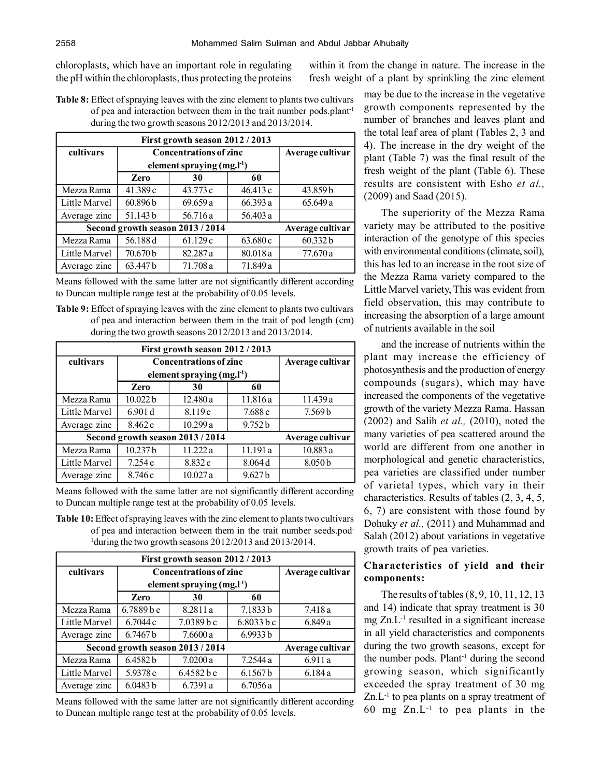chloroplasts, which have an important role in regulating the pH within the chloroplasts, thus protecting the proteins

within it from the change in nature. The increase in the fresh weight of a plant by sprinkling the zinc element

**Table 8:** Effect of spraying leaves with the zinc element to plants two cultivars of pea and interaction between them in the trait number pods.plant-1 during the two growth seasons 2012/2013 and 2013/2014.

| First growth season 2012 / 2013  |                  |                               |          |                  |  |
|----------------------------------|------------------|-------------------------------|----------|------------------|--|
| cultivars                        |                  | <b>Concentrations of zinc</b> |          | Average cultivar |  |
|                                  |                  | element spraying $(mg, l-1)$  |          |                  |  |
|                                  | Zero             | 30                            | 60       |                  |  |
| Mezza Rama                       | 41.389c          | 43.773 c                      | 46.413 c | 43.859b          |  |
| Little Marvel                    | 60.896 b         | 69.659a                       | 66.393 a | 65.649 a         |  |
| Average zinc                     | 51.143b          | 56.716 a                      | 56.403 a |                  |  |
| Second growth season 2013 / 2014 | Average cultivar |                               |          |                  |  |
| Mezza Rama                       | 56.188 d         | 61.129c                       | 63.680 c | 60.332b          |  |
| Little Marvel                    | 70.670 b         | 82.287 a                      | 80.018 a | 77.670 a         |  |
| Average zinc                     | 63.447 b         | 71.708 a                      | 71.849 a |                  |  |

Means followed with the same latter are not significantly different according to Duncan multiple range test at the probability of 0.05 levels.

**Table 9:** Effect of spraying leaves with the zinc element to plants two cultivars of pea and interaction between them in the trait of pod length (cm) during the two growth seasons 2012/2013 and 2013/2014.

| First growth season 2012 / 2013  |                  |                               |                    |                  |
|----------------------------------|------------------|-------------------------------|--------------------|------------------|
| cultivars                        |                  | <b>Concentrations of zinc</b> |                    | Average cultivar |
|                                  |                  | element spraying $(mg, l-1)$  |                    |                  |
|                                  | <b>Zero</b>      | 30                            | 60                 |                  |
| Mezza Rama                       | 10.022b          | 12.480a                       | 11.816 a           | 11.439 a         |
| Little Marvel                    | 6.901 d          | 8.119c                        | 7.688 c            | 7.569b           |
| Average zinc                     | 8.462 c          | 10.299a                       | 9.752 b            |                  |
| Second growth season 2013 / 2014 | Average cultivar |                               |                    |                  |
| Mezza Rama                       | 10.237b          | 11.222 a                      | 11.191 a           | 10.883 a         |
| Little Marvel                    | 7.254 e          | 8.832c                        | 8.064 d            | 8.050b           |
| Average zinc                     | 8.746 c          | 10.027a                       | 9.627 <sub>b</sub> |                  |

Means followed with the same latter are not significantly different according to Duncan multiple range test at the probability of 0.05 levels.

**Table 10:** Effect of spraying leaves with the zinc element to plants two cultivars of pea and interaction between them in the trait number seeds.pod-<sup>1</sup>during the two growth seasons 2012/2013 and 2013/2014.

| First growth season 2012 / 2013  |             |                                 |            |                  |  |
|----------------------------------|-------------|---------------------------------|------------|------------------|--|
| cultivars                        |             | <b>Concentrations of zinc</b>   |            | Average cultivar |  |
|                                  |             | element spraying $(mg, l^{-1})$ |            |                  |  |
|                                  | <b>Zero</b> | 30                              | 60         |                  |  |
| Mezza Rama                       | 6.7889 b c  | 8.2811 a                        | 7.1833b    | 7.418 a          |  |
| Little Marvel                    | 6.7044c     | 7.0389 b c                      | 6.8033 b c | 6.849 a          |  |
| Average zinc                     | 6.7467b     | 7.6600a                         | 6.9933 b   |                  |  |
| Second growth season 2013 / 2014 |             | Average cultivar                |            |                  |  |
| Mezza Rama                       | 6.4582b     | 7.0200a                         | 7.2544 a   | 6.911 a          |  |
| Little Marvel                    | 5.9378 c    | 6.4582 b c                      | 6.1567b    | 6.184a           |  |
| Average zinc                     | 6.0483 b    | 6.7391 a                        | 6.7056a    |                  |  |

Means followed with the same latter are not significantly different according to Duncan multiple range test at the probability of 0.05 levels.

may be due to the increase in the vegetative growth components represented by the number of branches and leaves plant and the total leaf area of plant (Tables 2, 3 and 4). The increase in the dry weight of the plant (Table 7) was the final result of the fresh weight of the plant (Table 6). These results are consistent with Esho *et al.,* (2009) and Saad (2015).

The superiority of the Mezza Rama variety may be attributed to the positive interaction of the genotype of this species with environmental conditions (climate, soil), this has led to an increase in the root size of the Mezza Rama variety compared to the Little Marvel variety, This was evident from field observation, this may contribute to increasing the absorption of a large amount of nutrients available in the soil

and the increase of nutrients within the plant may increase the efficiency of photosynthesis and the production of energy compounds (sugars), which may have increased the components of the vegetative growth of the variety Mezza Rama. Hassan (2002) and Salih *et al.,* (2010), noted the many varieties of pea scattered around the world are different from one another in morphological and genetic characteristics, pea varieties are classified under number of varietal types, which vary in their characteristics. Results of tables (2, 3, 4, 5, 6, 7) are consistent with those found by Dohuky *et al.,* (2011) and Muhammad and Salah (2012) about variations in vegetative growth traits of pea varieties.

# **Characteristics of yield and their components:**

The results of tables (8, 9, 10, 11, 12, 13 and 14) indicate that spray treatment is 30 mg  $Zn.L^{-1}$  resulted in a significant increase in all yield characteristics and components during the two growth seasons, except for the number pods. Plant<sup>-1</sup> during the second growing season, which significantly exceeded the spray treatment of 30 mg  $Zn.L^{-1}$  to pea plants on a spray treatment of 60 mg  $Zn.L^{-1}$  to pea plants in the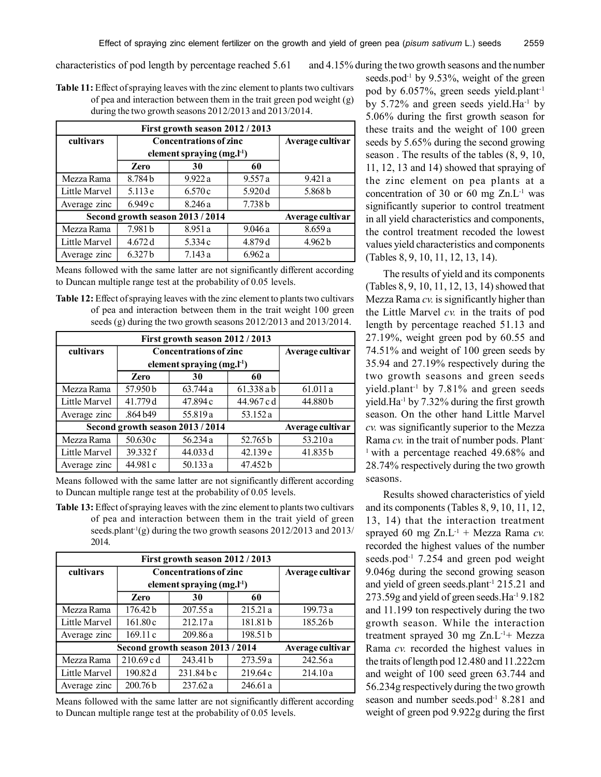characteristics of pod length by percentage reached 5.61 and 4.15% during the two growth seasons and the number

**Table 11:** Effect of spraying leaves with the zinc element to plants two cultivars of pea and interaction between them in the trait green pod weight (g) during the two growth seasons 2012/2013 and 2013/2014.

| First growth season 2012 / 2013  |                    |                               |         |                  |  |
|----------------------------------|--------------------|-------------------------------|---------|------------------|--|
| cultivars                        |                    | <b>Concentrations of zinc</b> |         | Average cultivar |  |
|                                  |                    | element spraying $(mg, l-1)$  |         |                  |  |
|                                  | <b>Zero</b>        | 30                            | 60      |                  |  |
| Mezza Rama                       | 8.784b             | 9.922 a                       | 9.557a  | 9.421 a          |  |
| Little Marvel                    | 5.113e             | 6.570c                        | 5.920 d | 5.868b           |  |
| Average zinc                     | 6.949c             | 8.246a                        | 7.738b  |                  |  |
| Second growth season 2013 / 2014 | Average cultivar   |                               |         |                  |  |
| Mezza Rama                       | 7.981 b            | 8.951 a                       | 9.046a  | 8.659a           |  |
| Little Marvel                    | 4.672 d            | 5.334 c                       | 4.879 d | 4.962 b          |  |
| Average zinc                     | 6.327 <sub>b</sub> | 7.143a                        | 6.962a  |                  |  |

Means followed with the same latter are not significantly different according to Duncan multiple range test at the probability of 0.05 levels.

**Table 12:** Effect of spraying leaves with the zinc element to plants two cultivars of pea and interaction between them in the trait weight 100 green seeds (g) during the two growth seasons 2012/2013 and 2013/2014.

| First growth season 2012 / 2013  |                  |                                 |            |                  |  |
|----------------------------------|------------------|---------------------------------|------------|------------------|--|
| cultivars                        |                  | <b>Concentrations of zinc</b>   |            | Average cultivar |  |
|                                  |                  | element spraying $(mg, l^{-1})$ |            |                  |  |
|                                  | <b>Zero</b>      | 30                              | 60         |                  |  |
| Mezza Rama                       | 57.950b          | 63.744 a                        | 61.338ab   | 61.011 a         |  |
| Little Marvel                    | 41.779 d         | 47.894 c                        | 44.967 c d | 44.880b          |  |
| Average zinc                     | .864 b49         | 55.819 a                        | 53.152 a   |                  |  |
| Second growth season 2013 / 2014 | Average cultivar |                                 |            |                  |  |
| Mezza Rama                       | 50.630c          | 56.234 a                        | 52.765 b   | 53.210 a         |  |
| Little Marvel                    | 39.332 f         | 44.033 d                        | 42.139e    | 41.835b          |  |
| Average zinc                     | 44.981 c         | 50.133a                         | 47.452 b   |                  |  |

Means followed with the same latter are not significantly different according to Duncan multiple range test at the probability of 0.05 levels.

**Table 13:** Effect of spraying leaves with the zinc element to plants two cultivars of pea and interaction between them in the trait yield of green seeds.plant<sup>-1</sup>(g) during the two growth seasons  $2012/2013$  and  $2013/$ 2014.

| First growth season 2012 / 2013  |                                 |              |          |                  |  |
|----------------------------------|---------------------------------|--------------|----------|------------------|--|
| cultivars                        | <b>Concentrations of zinc</b>   |              |          | Average cultivar |  |
|                                  | element spraying $(mg, l^{-1})$ |              |          |                  |  |
|                                  | Zero                            | 30           | 60       |                  |  |
| Mezza Rama                       | 176.42 b                        | 207.55a      | 215.21a  | 199.73 a         |  |
| Little Marvel                    | 161.80c                         | 212.17a      | 181.81 b | 185.26b          |  |
| Average zinc                     | 169.11c                         | 209.86a      | 198.51 b |                  |  |
| Second growth season 2013 / 2014 | Average cultivar                |              |          |                  |  |
| Mezza Rama                       | 210.69 cd                       | 243.41 b     | 273.59 a | 242.56 a         |  |
| Little Marvel                    | 190.82 d                        | $231.84$ b c | 219.64c  | 214.10a          |  |
| Average zinc                     | 200.76 <sub>b</sub>             | 237.62a      | 246.61 a |                  |  |

Means followed with the same latter are not significantly different according to Duncan multiple range test at the probability of 0.05 levels.

seeds.pod<sup>-1</sup> by 9.53%, weight of the green pod by 6.057%, green seeds yield.plant-1 by  $5.72\%$  and green seeds yield. Ha<sup>-1</sup> by 5.06% during the first growth season for these traits and the weight of 100 green seeds by 5.65% during the second growing season . The results of the tables (8, 9, 10, 11, 12, 13 and 14) showed that spraying of the zinc element on pea plants at a concentration of 30 or 60 mg  $Zn.L^{-1}$  was significantly superior to control treatment in all yield characteristics and components the control treatment recoded the lowest values yield characteristics and components (Tables 8, 9, 10, 11, 12, 13, 14).

The results of yield and its components (Tables 8, 9, 10, 11, 12, 13, 14) showed that Mezza Rama *cv.* is significantly higher than the Little Marvel *cv.* in the traits of pod length by percentage reached 51.13 and 27.19%, weight green pod by 60.55 and 74.51% and weight of 100 green seeds by 35.94 and 27.19% respectively during the two growth seasons and green seeds yield.plant-1 by 7.81% and green seeds yield.Ha-1 by 7.32% during the first growth season. On the other hand Little Marvel *cv.* was significantly superior to the Mezza Rama *cv.* in the trait of number pods. Plant-<sup>1</sup> with a percentage reached 49.68% and 28.74% respectively during the two growth seasons.

Results showed characteristics of yield and its components (Tables 8, 9, 10, 11, 12, 13, 14) that the interaction treatment sprayed 60 mg  $Zn.L^{-1}$  + Mezza Rama *cv*. recorded the highest values of the number seeds.pod<sup>-1</sup> 7.254 and green pod weight 9.046g during the second growing season and yield of green seeds.plant-1 215.21 and 273.59g and yield of green seeds.Ha-1 9.182 and 11.199 ton respectively during the two growth season. While the interaction treatment sprayed 30 mg  $Zn.L^{-1}$ + Mezza Rama *cv.* recorded the highest values in the traits of length pod 12.480 and 11.222cm and weight of 100 seed green 63.744 and 56.234g respectively during the two growth season and number seeds.pod<sup>-1</sup> 8.281 and weight of green pod 9.922g during the first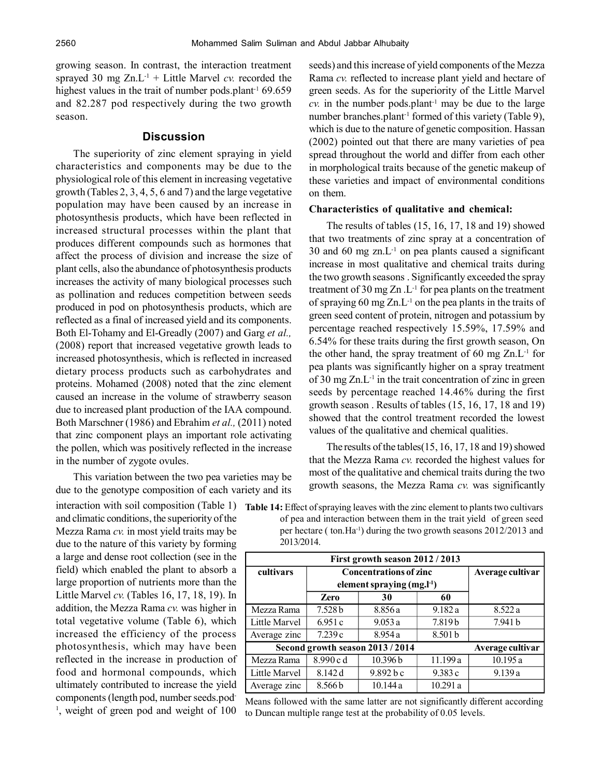growing season. In contrast, the interaction treatment sprayed 30 mg  $Zn.L^{-1}$  + Little Marvel *cv.* recorded the highest values in the trait of number pods.plant<sup>-1</sup> 69.659 and 82.287 pod respectively during the two growth season.

## **Discussion**

The superiority of zinc element spraying in yield characteristics and components may be due to the physiological role of this element in increasing vegetative growth (Tables 2, 3, 4, 5, 6 and 7) and the large vegetative population may have been caused by an increase in photosynthesis products, which have been reflected in increased structural processes within the plant that produces different compounds such as hormones that affect the process of division and increase the size of plant cells, also the abundance of photosynthesis products increases the activity of many biological processes such as pollination and reduces competition between seeds produced in pod on photosynthesis products, which are reflected as a final of increased yield and its components. Both El-Tohamy and El-Greadly (2007) and Garg *et al.,* (2008) report that increased vegetative growth leads to increased photosynthesis, which is reflected in increased dietary process products such as carbohydrates and proteins. Mohamed (2008) noted that the zinc element caused an increase in the volume of strawberry season due to increased plant production of the IAA compound. Both Marschner (1986) and Ebrahim *et al.,* (2011) noted that zinc component plays an important role activating the pollen, which was positively reflected in the increase in the number of zygote ovules.

This variation between the two pea varieties may be due to the genotype composition of each variety and its

and climatic conditions, the superiority of the Mezza Rama *cv.* in most yield traits may be due to the nature of this variety by forming a large and dense root collection (see in the field) which enabled the plant to absorb a large proportion of nutrients more than the Little Marvel *cv.* (Tables 16, 17, 18, 19). In addition, the Mezza Rama *cv.* was higher in total vegetative volume (Table 6), which increased the efficiency of the process photosynthesis, which may have been reflected in the increase in production of food and hormonal compounds, which ultimately contributed to increase the yield components (length pod, number seeds.pod-<sup>1</sup>, weight of green pod and weight of 100

seeds) and this increase of yield components of the Mezza Rama *cv.* reflected to increase plant yield and hectare of green seeds. As for the superiority of the Little Marvel  $cv$ . in the number pods.plant<sup>-1</sup> may be due to the large number branches.plant<sup>-1</sup> formed of this variety (Table 9), which is due to the nature of genetic composition. Hassan (2002) pointed out that there are many varieties of pea spread throughout the world and differ from each other in morphological traits because of the genetic makeup of these varieties and impact of environmental conditions on them.

#### **Characteristics of qualitative and chemical:**

The results of tables (15, 16, 17, 18 and 19) showed that two treatments of zinc spray at a concentration of  $30$  and  $60$  mg zn.L<sup>-1</sup> on pea plants caused a significant increase in most qualitative and chemical traits during the two growth seasons . Significantly exceeded the spray treatment of 30 mg  $Zn$  . L<sup>-1</sup> for pea plants on the treatment of spraying 60 mg  $Zn.L^{-1}$  on the pea plants in the traits of green seed content of protein, nitrogen and potassium by percentage reached respectively 15.59%, 17.59% and 6.54% for these traits during the first growth season, On the other hand, the spray treatment of 60 mg  $Zn.L^{-1}$  for pea plants was significantly higher on a spray treatment of 30 mg  $Zn.L^{-1}$  in the trait concentration of zinc in green seeds by percentage reached 14.46% during the first growth season . Results of tables (15, 16, 17, 18 and 19) showed that the control treatment recorded the lowest values of the qualitative and chemical qualities.

The results of the tables(15, 16, 17, 18 and 19) showed that the Mezza Rama *cv.* recorded the highest values for most of the qualitative and chemical traits during the two growth seasons, the Mezza Rama *cv.* was significantly

| First growth season 2012 / 2013  |                               |                              |          |         |  |
|----------------------------------|-------------------------------|------------------------------|----------|---------|--|
| cultivars                        | <b>Concentrations of zinc</b> | Average cultivar             |          |         |  |
|                                  |                               | element spraying $(mg, l-1)$ |          |         |  |
|                                  | <b>Zero</b>                   | 30                           | 60       |         |  |
| Mezza Rama                       | 7.528 <sub>b</sub>            | 8.856 a                      | 9.182a   | 8.522 a |  |
| Little Marvel                    | 6.951c                        | 9.053a                       | 7.819b   | 7.941 b |  |
| Average zinc                     | 7.239c                        | 8.954 a                      | 8.501 b  |         |  |
| Second growth season 2013 / 2014 | Average cultivar              |                              |          |         |  |
| Mezza Rama                       | 8.990c d                      | 10.396b                      | 11.199 a | 10.195a |  |
| Little Marvel                    | 8.142 d                       | 9.892 b c                    | 9.383 c  | 9.139a  |  |
| Average zinc                     | 8.566b                        | 10.144a                      | 10.291 a |         |  |

interaction with soil composition (Table 1) Table 14: Effect of spraying leaves with the zinc element to plants two cultivars of pea and interaction between them in the trait yield of green seed per hectare ( ton.Ha-1) during the two growth seasons 2012/2013 and 2013/2014.

Means followed with the same latter are not significantly different according to Duncan multiple range test at the probability of 0.05 levels.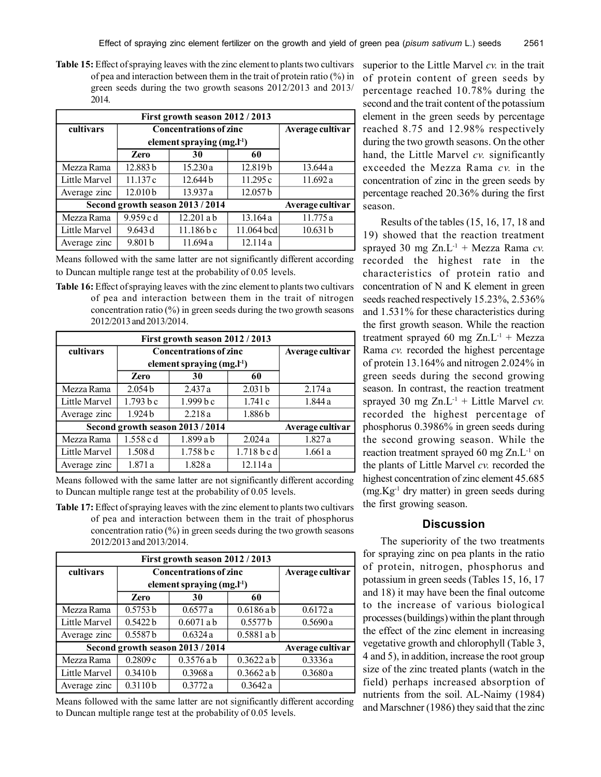**Table 15:** Effect of spraying leaves with the zinc element to plants two cultivars of pea and interaction between them in the trait of protein ratio (%) in green seeds during the two growth seasons 2012/2013 and 2013/ 2014.

| First growth season 2012 / 2013  |                                 |                  |                     |          |  |
|----------------------------------|---------------------------------|------------------|---------------------|----------|--|
| cultivars                        | <b>Concentrations of zinc</b>   | Average cultivar |                     |          |  |
|                                  | element spraying $(mg, l^{-1})$ |                  |                     |          |  |
|                                  | <b>Zero</b>                     | 30               | 60                  |          |  |
| Mezza Rama                       | 12.883 b                        | 15.230a          | 12.819b             | 13.644 a |  |
| Little Marvel                    | 11.137c                         | 12.644 b         | 11.295c             | 11.692 a |  |
| Average zinc                     | 12.010b                         | 13.937 a         | 12.057 <sub>b</sub> |          |  |
| Second growth season 2013 / 2014 | Average cultivar                |                  |                     |          |  |
| Mezza Rama                       | 9.959 c d                       | 12.201 a b       | 13.164a             | 11.775 a |  |
| Little Marvel                    | 9.643 d                         | $11.186$ b c     | 11.064 bcd          | 10.631 b |  |
| Average zinc                     | 9.801 b                         | 11.694 a         | 12.114a             |          |  |

Means followed with the same latter are not significantly different according to Duncan multiple range test at the probability of 0.05 levels.

**Table 16:** Effect of spraying leaves with the zinc element to plants two cultivars of pea and interaction between them in the trait of nitrogen concentration ratio (%) in green seeds during the two growth seasons 2012/2013 and 2013/2014.

| First growth season 2012 / 2013  |                               |                  |                    |         |  |
|----------------------------------|-------------------------------|------------------|--------------------|---------|--|
| cultivars                        | <b>Concentrations of zinc</b> | Average cultivar |                    |         |  |
|                                  | element spraying $(mg, l-1)$  |                  |                    |         |  |
|                                  | <b>Zero</b>                   | 30               | 60                 |         |  |
| Mezza Rama                       | 2.054 <sub>b</sub>            | 2.437a           | 2.031 <sub>b</sub> | 2.174a  |  |
| Little Marvel                    | 1.793 b c                     | $1.999b$ c       | 1.741c             | 1.844 a |  |
| Average zinc                     | 1.924 <sub>b</sub>            | 2.218a           | 1.886b             |         |  |
| Second growth season 2013 / 2014 | Average cultivar              |                  |                    |         |  |
| Mezza Rama                       | 1.558 c d                     | 1.899 a b        | 2.024a             | 1.827a  |  |
| Little Marvel                    | 1.508d                        | $1.758b$ c       | 1.718 b c d        | 1.661a  |  |
| Average zinc                     | 1.871 a                       | 1.828a           | 12.114a            |         |  |

Means followed with the same latter are not significantly different according to Duncan multiple range test at the probability of 0.05 levels.

**Table 17:** Effect of spraying leaves with the zinc element to plants two cultivars of pea and interaction between them in the trait of phosphorus concentration ratio  $(\%)$  in green seeds during the two growth seasons 2012/2013 and 2013/2014.

| First growth season 2012 / 2013  |                                |                  |              |         |  |
|----------------------------------|--------------------------------|------------------|--------------|---------|--|
| cultivars                        | <b>Concentrations of zinc</b>  | Average cultivar |              |         |  |
|                                  | element spraying $(mg,l^{-1})$ |                  |              |         |  |
|                                  | <b>Zero</b>                    | 30               | 60           |         |  |
| Mezza Rama                       | 0.5753 b                       | 0.6577a          | 0.6186ab     | 0.6172a |  |
| Little Marvel                    | 0.5422h                        | $0.6071$ a b     | 0.5577 b     | 0.5690a |  |
| Average zinc                     | 0.5587b                        | 0.6324a          | $0.5881$ a b |         |  |
| Second growth season 2013 / 2014 | Average cultivar               |                  |              |         |  |
| Mezza Rama                       | 0.2809c                        | $0.3576$ a b     | $0.3622$ a b | 0.3336a |  |
| Little Marvel                    | 0.3410 b                       | 0.3968a          | $0.3662$ a b | 0.3680a |  |
| Average zinc                     | 0.3110b                        | 0.3772a          | 0.3642a      |         |  |

Means followed with the same latter are not significantly different according to Duncan multiple range test at the probability of 0.05 levels.

superior to the Little Marvel *cv.* in the trait of protein content of green seeds by percentage reached 10.78% during the second and the trait content of the potassium element in the green seeds by percentage reached 8.75 and 12.98% respectively during the two growth seasons. On the other hand, the Little Marvel *cv.* significantly exceeded the Mezza Rama *cv.* in the concentration of zinc in the green seeds by percentage reached 20.36% during the first season.

Results of the tables (15, 16, 17, 18 and 19) showed that the reaction treatment sprayed 30 mg  $Zn.L^{-1}$  + Mezza Rama *cv*. recorded the highest rate in the characteristics of protein ratio and concentration of N and K element in green seeds reached respectively 15.23%, 2.536% and 1.531% for these characteristics during the first growth season. While the reaction treatment sprayed 60 mg  $Zn.L^{-1}$  + Mezza Rama *cv.* recorded the highest percentage of protein 13.164% and nitrogen 2.024% in green seeds during the second growing season. In contrast, the reaction treatment sprayed 30 mg  $Zn.L^{-1}$  + Little Marvel *cv*. recorded the highest percentage of phosphorus 0.3986% in green seeds during the second growing season. While the reaction treatment sprayed 60 mg  $Zn.L^{-1}$  on the plants of Little Marvel *cv.* recorded the highest concentration of zinc element 45.685  $(mg.Kg<sup>-1</sup>$  dry matter) in green seeds during the first growing season.

# **Discussion**

The superiority of the two treatments for spraying zinc on pea plants in the ratio of protein, nitrogen, phosphorus and potassium in green seeds (Tables 15, 16, 17 and 18) it may have been the final outcome to the increase of various biological processes (buildings) within the plant through the effect of the zinc element in increasing vegetative growth and chlorophyll (Table 3, 4 and 5), in addition, increase the root group size of the zinc treated plants (watch in the field) perhaps increased absorption of nutrients from the soil. AL-Naimy (1984) and Marschner (1986) they said that the zinc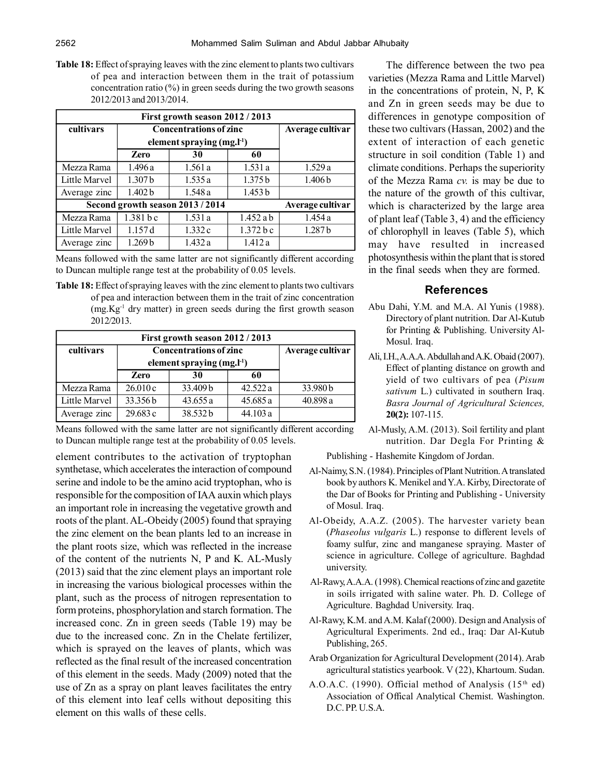**Table 18:** Effect of spraying leaves with the zinc element to plants two cultivars of pea and interaction between them in the trait of potassium concentration ratio  $(\%)$  in green seeds during the two growth seasons 2012/2013 and 2013/2014.

| First growth season 2012 / 2013  |                                 |                  |             |                    |  |
|----------------------------------|---------------------------------|------------------|-------------|--------------------|--|
| cultivars                        | <b>Concentrations of zinc</b>   | Average cultivar |             |                    |  |
|                                  | element spraying $(mg, l^{-1})$ |                  |             |                    |  |
|                                  | Zero                            | 30               | 60          |                    |  |
| Mezza Rama                       | 1.496a                          | 1.561a           | 1.531a      | 1.529a             |  |
| Little Marvel                    | 1.307 <sub>b</sub>              | 1.535a           | 1.375 b     | 1.406 <sub>b</sub> |  |
| Average zinc                     | 1.402 b                         | 1.548a           | 1.453 b     |                    |  |
| Second growth season 2013 / 2014 | Average cultivar                |                  |             |                    |  |
| Mezza Rama                       | 1.381 b c                       | 1.531a           | $1.452$ a b | 1.454a             |  |
| Little Marvel                    | 1.157d                          | 1.332c           | 1.372 b c   | 1.287 <sub>b</sub> |  |
| Average zinc                     | 1.269 <sub>b</sub>              | 1.432a           | 1.412a      |                    |  |

Means followed with the same latter are not significantly different according to Duncan multiple range test at the probability of 0.05 levels.

**Table 18:** Effect of spraying leaves with the zinc element to plants two cultivars of pea and interaction between them in the trait of zinc concentration (mg.Kg-1 dry matter) in green seeds during the first growth season 2012/2013.

| First growth season 2012 / 2013 |                               |                              |          |          |  |
|---------------------------------|-------------------------------|------------------------------|----------|----------|--|
| cultivars                       | <b>Concentrations of zinc</b> | Average cultivar             |          |          |  |
|                                 |                               | element spraying $(mg, l-1)$ |          |          |  |
|                                 | <b>Zero</b>                   | 30                           | 60       |          |  |
| Mezza Rama                      | 26.010c                       | 33.409 b                     | 42.522a  | 33.980b  |  |
| Little Marvel                   | 33.356 b                      | 43.655a                      | 45.685 a | 40.898 a |  |
| Average zinc                    | 29.683c                       | 38.532b                      | 44.103 a |          |  |

Means followed with the same latter are not significantly different according to Duncan multiple range test at the probability of 0.05 levels.

element contributes to the activation of tryptophan synthetase, which accelerates the interaction of compound serine and indole to be the amino acid tryptophan, who is responsible for the composition of IAA auxin which plays an important role in increasing the vegetative growth and roots of the plant. AL-Obeidy (2005) found that spraying the zinc element on the bean plants led to an increase in the plant roots size, which was reflected in the increase of the content of the nutrients N, P and K. AL-Musly (2013) said that the zinc element plays an important role in increasing the various biological processes within the plant, such as the process of nitrogen representation to form proteins, phosphorylation and starch formation. The increased conc. Zn in green seeds (Table 19) may be due to the increased conc. Zn in the Chelate fertilizer, which is sprayed on the leaves of plants, which was reflected as the final result of the increased concentration of this element in the seeds. Mady (2009) noted that the use of Zn as a spray on plant leaves facilitates the entry of this element into leaf cells without depositing this element on this walls of these cells.

The difference between the two pea varieties (Mezza Rama and Little Marvel) in the concentrations of protein, N, P, K and Zn in green seeds may be due to differences in genotype composition of these two cultivars (Hassan, 2002) and the extent of interaction of each genetic structure in soil condition (Table 1) and climate conditions. Perhaps the superiority of the Mezza Rama *cv.* is may be due to the nature of the growth of this cultivar, which is characterized by the large area of plant leaf (Table 3, 4) and the efficiency of chlorophyll in leaves (Table 5), which may have resulted in increased photosynthesis within the plant that is stored in the final seeds when they are formed.

# **References**

- Abu Dahi, Y.M. and M.A. Al Yunis (1988). Directory of plant nutrition. Dar Al-Kutub for Printing & Publishing. University Al-Mosul. Iraq.
- Ali, I.H., A.A.A. Abdullah and A.K. Obaid (2007). Effect of planting distance on growth and yield of two cultivars of pea (*Pisum sativum* L.) cultivated in southern Iraq. *Basra Journal of Agricultural Sciences,* **20(2):** 107-115.
- Al-Musly, A.M. (2013). Soil fertility and plant nutrition. Dar Degla For Printing &

Publishing - Hashemite Kingdom of Jordan.

- Al-Naimy, S.N. (1984). Principles of Plant Nutrition. A translated book by authors K. Menikel and Y.A. Kirby, Directorate of the Dar of Books for Printing and Publishing - University of Mosul. Iraq.
- Al-Obeidy, A.A.Z. (2005). The harvester variety bean (*Phaseolus vulgaris* L.) response to different levels of foamy sulfur, zinc and manganese spraying. Master of science in agriculture. College of agriculture. Baghdad university.
- Al-Rawy, A.A.A. (1998). Chemical reactions of zinc and gazetite in soils irrigated with saline water. Ph. D. College of Agriculture. Baghdad University. Iraq.
- Al-Rawy, K.M. and A.M. Kalaf (2000). Design and Analysis of Agricultural Experiments. 2nd ed., Iraq: Dar Al-Kutub Publishing, 265.
- Arab Organization for Agricultural Development (2014). Arab agricultural statistics yearbook. V (22), Khartoum. Sudan.
- A.O.A.C. (1990). Official method of Analysis (15<sup>th</sup> ed) Association of Offical Analytical Chemist. Washington. D.C. PP. U.S.A.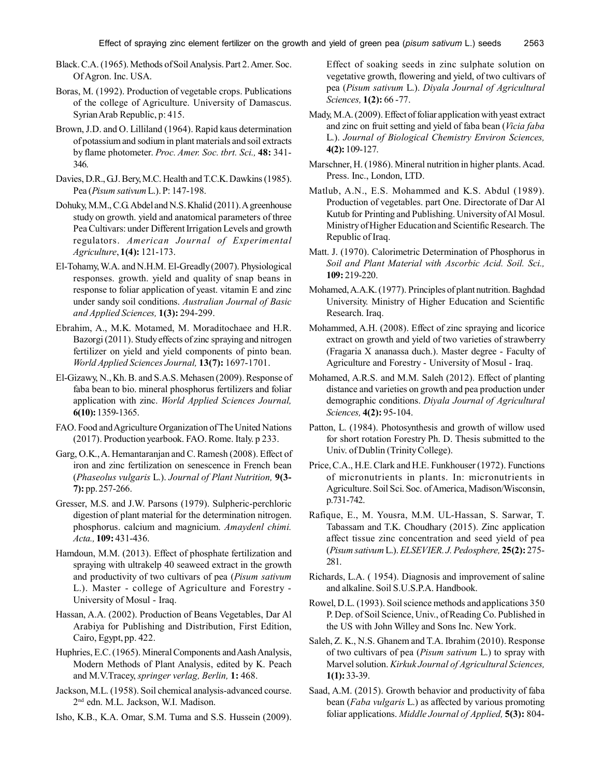Black. C.A. (1965). Methods of Soil Analysis. Part 2. Amer. Soc. Of Agron. Inc. USA.

- Boras, M. (1992). Production of vegetable crops. Publications of the college of Agriculture. University of Damascus. Syrian Arab Republic, p: 415.
- Brown, J.D. and O. Lilliland (1964). Rapid kaus determination of potassium and sodium in plant materials and soil extracts by flame photometer. *Proc. Amer. Soc. tbrt. Sci.,* **48:** 341- 346.
- Davies, D.R., G.J. Bery, M.C. Health and T.C.K. Dawkins (1985). Pea (*Pisum sativum* L.). P: 147-198.
- Dohuky, M.M., C.G. Abdel and N.S. Khalid (2011). A greenhouse study on growth. yield and anatomical parameters of three Pea Cultivars: under Different Irrigation Levels and growth regulators. *American Journal of Experimental Agriculture*, **1(4):** 121-173.
- El-Tohamy, W.A. and N.H.M. El-Greadly (2007). Physiological responses. growth. yield and quality of snap beans in response to foliar application of yeast. vitamin E and zinc under sandy soil conditions. *Australian Journal of Basic and Applied Sciences,* **1(3):** 294-299.
- Ebrahim, A., M.K. Motamed, M. Moraditochaee and H.R. Bazorgi (2011). Study effects of zinc spraying and nitrogen fertilizer on yield and yield components of pinto bean. *World Applied Sciences Journal,* **13(7):** 1697-1701.
- El-Gizawy, N., Kh. B. and S.A.S. Mehasen (2009). Response of faba bean to bio. mineral phosphorus fertilizers and foliar application with zinc. *World Applied Sciences Journal,* **6(10):** 1359-1365.
- FAO. Food and Agriculture Organization of The United Nations (2017). Production yearbook. FAO. Rome. Italy. p 233.
- Garg, O.K., A. Hemantaranjan and C. Ramesh (2008). Effect of iron and zinc fertilization on senescence in French bean (*Phaseolus vulgaris* L.). *Journal of Plant Nutrition,* **9(3- 7):** pp. 257-266.
- Gresser, M.S. and J.W. Parsons (1979). Sulpheric-perchloric digestion of plant material for the determination nitrogen. phosphorus. calcium and magnicium. *Amaydenl chimi. Acta.,* **109:** 431-436.
- Hamdoun, M.M. (2013). Effect of phosphate fertilization and spraying with ultrakelp 40 seaweed extract in the growth and productivity of two cultivars of pea (*Pisum sativum* L.). Master - college of Agriculture and Forestry - University of Mosul - Iraq.
- Hassan, A.A. (2002). Production of Beans Vegetables, Dar Al Arabiya for Publishing and Distribution, First Edition, Cairo, Egypt, pp. 422.
- Huphries, E.C. (1965). Mineral Components and Aash Analysis, Modern Methods of Plant Analysis, edited by K. Peach and M.V.Tracey, *springer verlag, Berlin,* **1:** 468.
- Jackson, M.L. (1958). Soil chemical analysis-advanced course. 2 nd edn. M.L. Jackson, W.I. Madison.
- Isho, K.B., K.A. Omar, S.M. Tuma and S.S. Hussein (2009).

Effect of soaking seeds in zinc sulphate solution on vegetative growth, flowering and yield, of two cultivars of pea (*Pisum sativum* L.). *Diyala Journal of Agricultural Sciences,* **1(2):** 66 -77.

- Mady, M.A. (2009). Effect of foliar application with yeast extract and zinc on fruit setting and yield of faba bean (*Vicia faba* L.). *Journal of Biological Chemistry Environ Sciences,* **4(2):** 109-127.
- Marschner, H. (1986). Mineral nutrition in higher plants. Acad. Press. Inc., London, LTD.
- Matlub, A.N., E.S. Mohammed and K.S. Abdul (1989). Production of vegetables. part One. Directorate of Dar Al Kutub for Printing and Publishing. University of Al Mosul. Ministry of Higher Education and Scientific Research. The Republic of Iraq.
- Matt. J. (1970). Calorimetric Determination of Phosphorus in *Soil and Plant Material with Ascorbic Acid. Soil. Sci.,* **109:** 219-220.
- Mohamed, A.A.K. (1977). Principles of plant nutrition. Baghdad University. Ministry of Higher Education and Scientific Research. Iraq.
- Mohammed, A.H. (2008). Effect of zinc spraying and licorice extract on growth and yield of two varieties of strawberry (Fragaria X ananassa duch.). Master degree - Faculty of Agriculture and Forestry - University of Mosul - Iraq.
- Mohamed, A.R.S. and M.M. Saleh (2012). Effect of planting distance and varieties on growth and pea production under demographic conditions. *Diyala Journal of Agricultural Sciences,* **4(2):** 95-104.
- Patton, L. (1984). Photosynthesis and growth of willow used for short rotation Forestry Ph. D. Thesis submitted to the Univ. of Dublin (Trinity College).
- Price, C.A., H.E. Clark and H.E. Funkhouser (1972). Functions of micronutrients in plants. In: micronutrients in Agriculture. Soil Sci. Soc. of America, Madison/Wisconsin, p.731-742.
- Rafique, E., M. Yousra, M.M. UL-Hassan, S. Sarwar, T. Tabassam and T.K. Choudhary (2015). Zinc application affect tissue zinc concentration and seed yield of pea (*Pisum sativum* L.). *ELSEVIER. J. Pedosphere,* **25(2):** 275- 281.
- Richards, L.A. ( 1954). Diagnosis and improvement of saline and alkaline. Soil S.U.S.P.A. Handbook.
- Rowel, D.L. (1993). Soil science methods and applications 350 P. Dep. of Soil Science, Univ., of Reading Co. Published in the US with John Willey and Sons Inc. New York.
- Saleh, Z. K., N.S. Ghanem and T.A. Ibrahim (2010). Response of two cultivars of pea (*Pisum sativum* L.) to spray with Marvel solution. *Kirkuk Journal of Agricultural Sciences,* **1(1):** 33-39.
- Saad, A.M. (2015). Growth behavior and productivity of faba bean (*Faba vulgaris* L.) as affected by various promoting foliar applications. *Middle Journal of Applied,* **5(3):** 804-